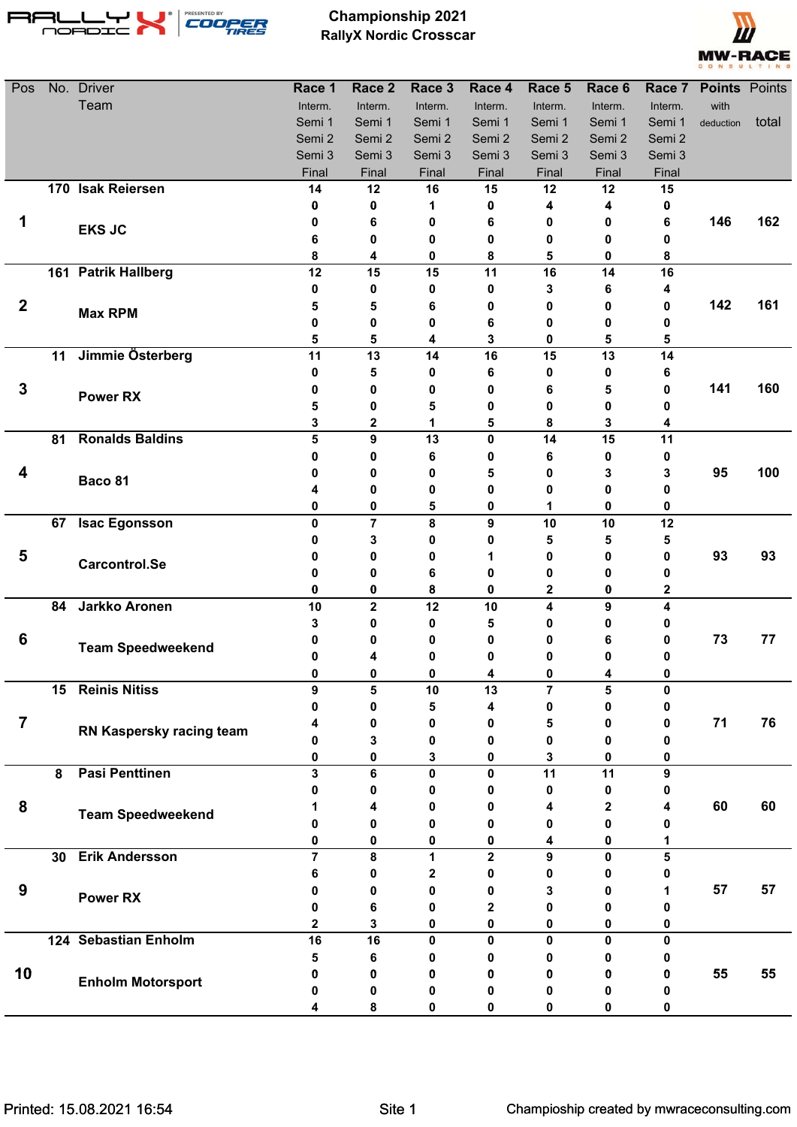



| Pos              |    | No. Driver               | Race 1         | Race 2      | Race 3  | Race 4                  | Race 5           | Race 6       |              | Race 7 Points Points |       |
|------------------|----|--------------------------|----------------|-------------|---------|-------------------------|------------------|--------------|--------------|----------------------|-------|
|                  |    | Team                     | Interm.        | Interm.     | Interm. | Interm.                 | Interm.          | Interm.      | Interm.      | with                 |       |
|                  |    |                          | Semi 1         | Semi 1      | Semi 1  | Semi 1                  | Semi 1           | Semi 1       | Semi 1       | deduction            | total |
|                  |    |                          | Semi 2         | Semi 2      | Semi 2  | Semi 2                  | Semi 2           | Semi 2       | Semi 2       |                      |       |
|                  |    |                          | Semi 3         | Semi 3      | Semi 3  | Semi 3                  | Semi 3           | Semi 3       | Semi 3       |                      |       |
|                  |    |                          | Final          | Final       | Final   | Final                   | Final            | Final        | Final        |                      |       |
|                  |    | 170 Isak Reiersen        | 14             | 12          | 16      | 15                      | 12               | 12           | 15           |                      |       |
|                  |    |                          | 0              | 0           | 1       | 0                       | 4                | 4            | 0            |                      |       |
|                  |    | <b>EKS JC</b>            | 0              | 6           | 0       | 6                       | 0                | 0            | 6            | 146                  | 162   |
|                  |    |                          | 6              | 0           | 0       | 0                       | 0                | 0            | 0            |                      |       |
|                  |    | 161 Patrik Hallberg      | 8<br>12        | 4<br>15     | 0<br>15 | 8<br>11                 | 5<br>16          | 0<br>14      | 8<br>16      |                      |       |
|                  |    |                          | 0              | 0           | 0       | 0                       | 3                | 6            | 4            |                      |       |
| $\boldsymbol{2}$ |    |                          | 5              | 5           | 6       | 0                       | 0                | 0            | 0            | 142                  | 161   |
|                  |    | <b>Max RPM</b>           | 0              | 0           | 0       | 6                       | 0                | 0            | 0            |                      |       |
|                  |    |                          | 5              | 5           | 4       | 3                       | 0                | 5            | 5            |                      |       |
|                  |    | 11 Jimmie Österberg      | 11             | 13          | 14      | 16                      | 15               | 13           | 14           |                      |       |
|                  |    |                          | 0              | 5           | 0       | 6                       | 0                | 0            | 6            |                      |       |
| $\mathbf 3$      |    |                          | 0              | 0           | 0       | 0                       | 6                | 5            | 0            | 141                  | 160   |
|                  |    | <b>Power RX</b>          | 5              | 0           | 5       | 0                       | 0                | 0            | 0            |                      |       |
|                  |    |                          | 3              | 2           | 1       | 5                       | 8                | 3            | 4            |                      |       |
|                  | 81 | <b>Ronalds Baldins</b>   | 5              | 9           | 13      | $\mathbf 0$             | 14               | 15           | 11           |                      |       |
|                  |    |                          | 0              | 0           | 6       | 0                       | 6                | 0            | 0            |                      |       |
| 4                |    | Baco 81                  | 0              | 0           | 0       | 5                       | 0                | 3            | 3            | 95                   | 100   |
|                  |    |                          |                | 0           | 0       | 0                       | 0                | 0            | 0            |                      |       |
|                  |    |                          | 0              | 0           | 5       | 0                       | 1                | 0            | 0            |                      |       |
|                  | 67 | <b>Isac Egonsson</b>     | $\mathbf 0$    | 7           | 8       | 9                       | 10               | 10           | 12           |                      |       |
|                  |    |                          | 0              | 3           | 0       | 0                       | 5                | 5            | 5            |                      |       |
| 5                |    | Carcontrol.Se            | 0              | 0           | 0       | 1                       | 0                | 0            | 0            | 93                   | 93    |
|                  |    |                          | 0              | 0           | 6       | 0                       | 0                | 0            | 0            |                      |       |
|                  |    |                          | 0              | 0           | 8       | 0                       | $\mathbf 2$      | 0            | 2            |                      |       |
|                  | 84 | <b>Jarkko Aronen</b>     | 10             | $\mathbf 2$ | 12      | 10                      | 4                | 9            | 4            |                      |       |
|                  |    |                          | 3              | 0           | 0       | 5                       | 0                | 0            | 0            |                      |       |
| 6                |    | <b>Team Speedweekend</b> | 0              | 0           | 0       | 0                       | 0                | 6            | 0            | 73                   | 77    |
|                  |    |                          | 0              | 4           | 0       | 0                       | 0                | 0            | 0            |                      |       |
|                  |    |                          | U              | 0           | 0       |                         | 0                | 4            | n            |                      |       |
|                  | 15 | <b>Reinis Nitiss</b>     | 9              | 5           | 10      | 13                      | $\overline{7}$   | 5            | 0            |                      |       |
| $\overline{7}$   |    |                          | 0              | 0           | 5       | 4                       | 0                | 0            | 0            | 71                   | 76    |
|                  |    | RN Kaspersky racing team | 4<br>0         | 0           | 0       | 0                       | 5<br>0           | 0<br>0       | 0            |                      |       |
|                  |    |                          | 0              | 3<br>0      | 0<br>3  | 0<br>0                  | 3                | 0            | 0<br>0       |                      |       |
|                  | 8  | <b>Pasi Penttinen</b>    | 3              | 6           | 0       | 0                       | 11               | 11           | 9            |                      |       |
|                  |    |                          | n              | 0           | 0       | 0                       | 0                | 0            | 0            |                      |       |
| 8                |    |                          |                | 4           | 0       | 0                       | 4                | $\mathbf{2}$ | 4            | 60                   | 60    |
|                  |    | <b>Team Speedweekend</b> | 0              | 0           | 0       | 0                       | 0                | 0            |              |                      |       |
|                  |    |                          | 0              | 0           | 0       | 0                       | 4                | 0            | 1            |                      |       |
|                  |    | 30 Erik Andersson        | $\overline{7}$ | 8           | 1       | $\overline{\mathbf{2}}$ | $\boldsymbol{9}$ | $\mathbf 0$  | 5            |                      |       |
|                  |    |                          | 6              | 0           | 2       | 0                       | 0                | 0            | 0            |                      |       |
| 9                |    |                          | Λ              | 0           | 0       | 0                       | 3                | 0            |              | 57                   | 57    |
|                  |    | <b>Power RX</b>          | 0              | 6           | 0       | 2                       | 0                | 0            | 0            |                      |       |
|                  |    |                          | 2              | 3           | 0       | 0                       | 0                | 0            | 0            |                      |       |
|                  |    | 124 Sebastian Enholm     | 16             | 16          | 0       | 0                       | $\mathbf{0}$     | 0            | $\mathbf{0}$ |                      |       |
|                  |    |                          | 5              | 6           | o       | 0                       | 0                | 0            | 0            |                      |       |
| 10               |    | <b>Enholm Motorsport</b> | 0              | 0           | o       | 0                       | 0                | 0            | 0            | 55                   | 55    |
|                  |    |                          |                | 0           | 0       | 0                       | 0                | 0            | o            |                      |       |
|                  |    |                          |                | 8           | 0       | 0                       | 0                | 0            |              |                      |       |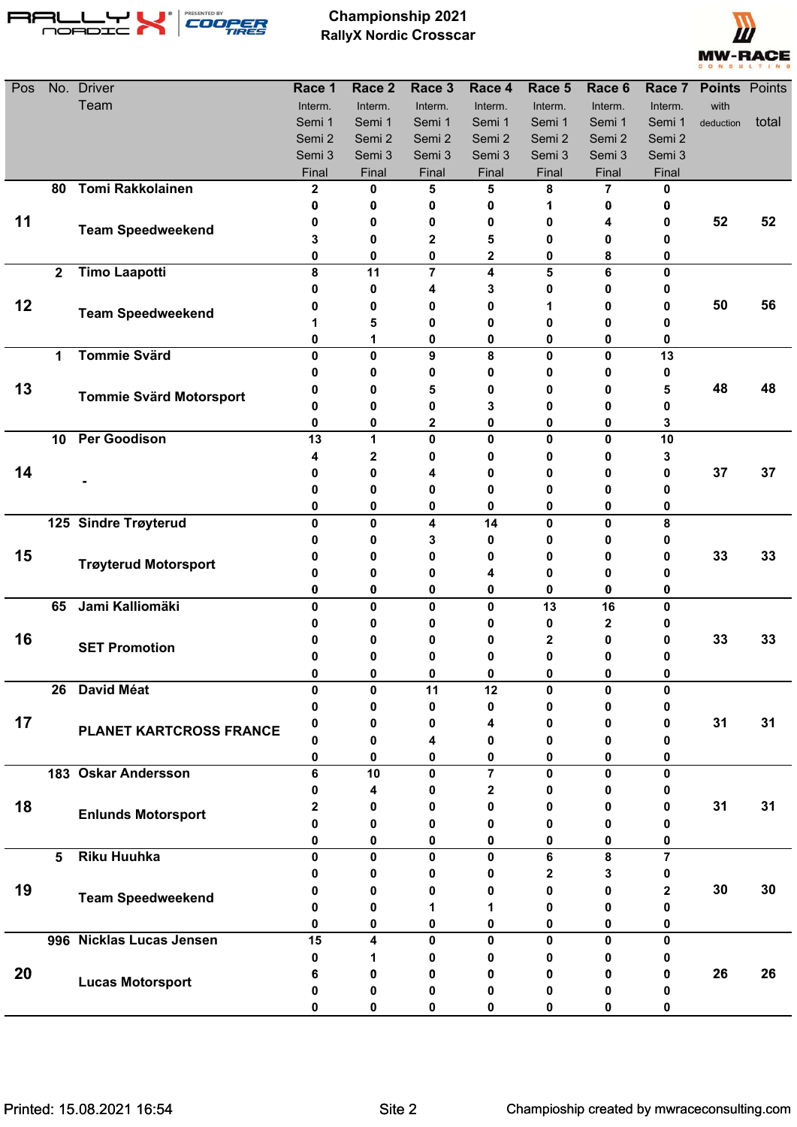



| Pos |                 | No. Driver                     | Race 1       | Race <sub>2</sub> | Race 3  | Race 4         | Race 5       | Race 6  | Race 7         | <b>Points</b> Points |       |
|-----|-----------------|--------------------------------|--------------|-------------------|---------|----------------|--------------|---------|----------------|----------------------|-------|
|     |                 | Team                           | Interm.      | Interm.           | Interm. | Interm.        | Interm.      | Interm. | Interm.        | with                 |       |
|     |                 |                                | Semi 1       | Semi 1            | Semi 1  | Semi 1         | Semi 1       | Semi 1  | Semi 1         | deduction            | total |
|     |                 |                                | Semi 2       | Semi 2            | Semi 2  | Semi 2         | Semi 2       | Semi 2  | Semi 2         |                      |       |
|     |                 |                                | Semi 3       | Semi 3            | Semi 3  | Semi 3         | Semi 3       | Semi 3  | Semi 3         |                      |       |
|     |                 |                                | Final        | Final             | Final   | Final          | Final        | Final   | Final          |                      |       |
|     | 80              | <b>Tomi Rakkolainen</b>        | $\mathbf{2}$ | 0                 | 5       | 5              | 8            | 7       | 0              |                      |       |
|     |                 |                                | 0            | 0                 | 0       | 0              |              | 0       | 0              |                      |       |
| 11  |                 | <b>Team Speedweekend</b>       | 0            | 0                 | 0       | 0              | 0            | 4       | 0              | 52                   | 52    |
|     |                 |                                | 3            | 0                 | 2       | 5              | 0            | 0       | 0              |                      |       |
|     | $\mathbf{2}$    | <b>Timo Laapotti</b>           | 0<br>8       | 0<br>11           | 0<br>7  | 2<br>4         | 0<br>5       | 8<br>6  | 0<br>0         |                      |       |
|     |                 |                                | Ω            | 0                 |         | 3              | 0            | 0       |                |                      |       |
| 12  |                 |                                | n            | 0                 | 0       | 0              |              | 0       | 0              | 50                   | 56    |
|     |                 | <b>Team Speedweekend</b>       |              | 5                 | 0       | 0              | 0            | 0       | 0              |                      |       |
|     |                 |                                | 0            | 1                 | 0       | 0              | 0            | 0       | 0              |                      |       |
|     | 1               | <b>Tommie Svärd</b>            | $\mathbf{0}$ | 0                 | 9       | 8              | $\mathbf 0$  | 0       | 13             |                      |       |
|     |                 |                                | o            | 0                 | 0       | 0              | 0            | 0       | 0              |                      |       |
| 13  |                 |                                | O            | 0                 | 5       | 0              | 0            | 0       | 5              | 48                   | 48    |
|     |                 | <b>Tommie Svärd Motorsport</b> | Ω            | 0                 | 0       | 3              | 0            | 0       | 0              |                      |       |
|     |                 |                                | 0            | 0                 | 2       | 0              | 0            | 0       | 3              |                      |       |
|     | 10 <sub>1</sub> | <b>Per Goodison</b>            | 13           | 1                 | 0       | 0              | $\pmb{0}$    | 0       | 10             |                      |       |
|     |                 |                                | 4            | 2                 | 0       | 0              | 0            | 0       | 3              |                      |       |
| 14  |                 |                                | 0            | 0                 | 4       | 0              | 0            | 0       | 0              | 37                   | 37    |
|     |                 |                                | 0            | 0                 | 0       | 0              | 0            | 0       | 0              |                      |       |
|     |                 |                                | 0            | 0                 | 0       | 0              | 0            | 0       | 0              |                      |       |
|     |                 | 125 Sindre Trøyterud           | $\mathbf 0$  | 0                 | 4       | 14             | $\mathbf 0$  | 0       | 8              |                      |       |
|     |                 |                                | 0            | 0                 | 3       | 0              | 0            | 0       | 0              |                      |       |
| 15  |                 | <b>Trøyterud Motorsport</b>    | 0            | 0                 | o       | 0              | 0            | 0       | 0              | 33                   | 33    |
|     |                 |                                | 0            | 0                 | 0       | 4              | 0            | 0       | п              |                      |       |
|     |                 |                                | 0            | 0                 | 0       | 0              | $\bf{0}$     | 0       | 0              |                      |       |
|     | 65              | Jami Kalliomäki                | 0            | 0                 | 0       | 0              | 13           | 16      | 0              |                      |       |
|     |                 |                                | 0            | 0                 | Ω       | 0              | 0            | 2       | 0              |                      |       |
| 16  |                 | <b>SET Promotion</b>           | 0            | 0                 | Ω       | 0              | $\mathbf{2}$ | 0       | 0              | 33                   | 33    |
|     |                 |                                | 0            | 0                 | Ω       | 0              | 0            | 0       | 0              |                      |       |
|     |                 |                                | 0            | 0                 | Λ       |                | 0            | 0       | U              |                      |       |
|     | 26              | <b>David Méat</b>              | 0            | 0                 | 11      | 12             | $\mathbf{0}$ | 0       | 0              |                      |       |
|     |                 |                                | 0            | 0                 | 0       | 0              | 0            | 0       | 0              |                      |       |
| 17  |                 | PLANET KARTCROSS FRANCE        | 0            | 0                 | 0       | 4              | 0            | 0       | 0              | 31                   | 31    |
|     |                 |                                | 0            | 0                 | 4       | 0              | 0            | 0       | 0              |                      |       |
|     |                 |                                | 0            | 0                 | 0       | 0              | 0            | 0       | 0              |                      |       |
|     |                 | 183 Oskar Andersson            | 6            | 10                | 0       | $\overline{7}$ | $\mathbf 0$  | 0       | 0              |                      |       |
| 18  |                 |                                | 0<br>2       | 4<br>0            | 0<br>0  | 2<br>0         | 0<br>0       | 0<br>0  | 0<br>0         | 31                   | 31    |
|     |                 | <b>Enlunds Motorsport</b>      | 0            | 0                 | 0       | 0              | 0            | 0       | 0              |                      |       |
|     |                 |                                | 0            | 0                 | 0       | 0              | 0            | 0       | 0              |                      |       |
|     | 5               | <b>Riku Huuhka</b>             | 0            | 0                 | 0       | 0              | 6            | 8       | $\overline{7}$ |                      |       |
|     |                 |                                | 0            | 0                 | 0       | 0              | 2            | 3       | 0              |                      |       |
| 19  |                 |                                | 0            | 0                 | 0       | 0              | 0            | 0       | 2              | 30                   | 30    |
|     |                 | <b>Team Speedweekend</b>       | 0            | 0                 | 1       | 1              | 0            | 0       | 0              |                      |       |
|     |                 |                                | 0            | 0                 | 0       | 0              | 0            | 0       | 0              |                      |       |
|     |                 | 996 Nicklas Lucas Jensen       | 15           | 4                 | 0       | 0              | $\mathbf{0}$ | 0       | 0              |                      |       |
|     |                 |                                | 0            | 1                 | 0       | 0              | 0            | 0       | 0              |                      |       |
| 20  |                 |                                | 6            | 0                 | 0       | 0              | 0            | 0       | 0              | 26                   | 26    |
|     |                 | <b>Lucas Motorsport</b>        | Ω            | 0                 | 0       | 0              | 0            | 0       | 0              |                      |       |
|     |                 |                                | 0            | 0                 | 0       | 0              | 0            | 0       | 0              |                      |       |
|     |                 |                                |              |                   |         |                |              |         |                |                      |       |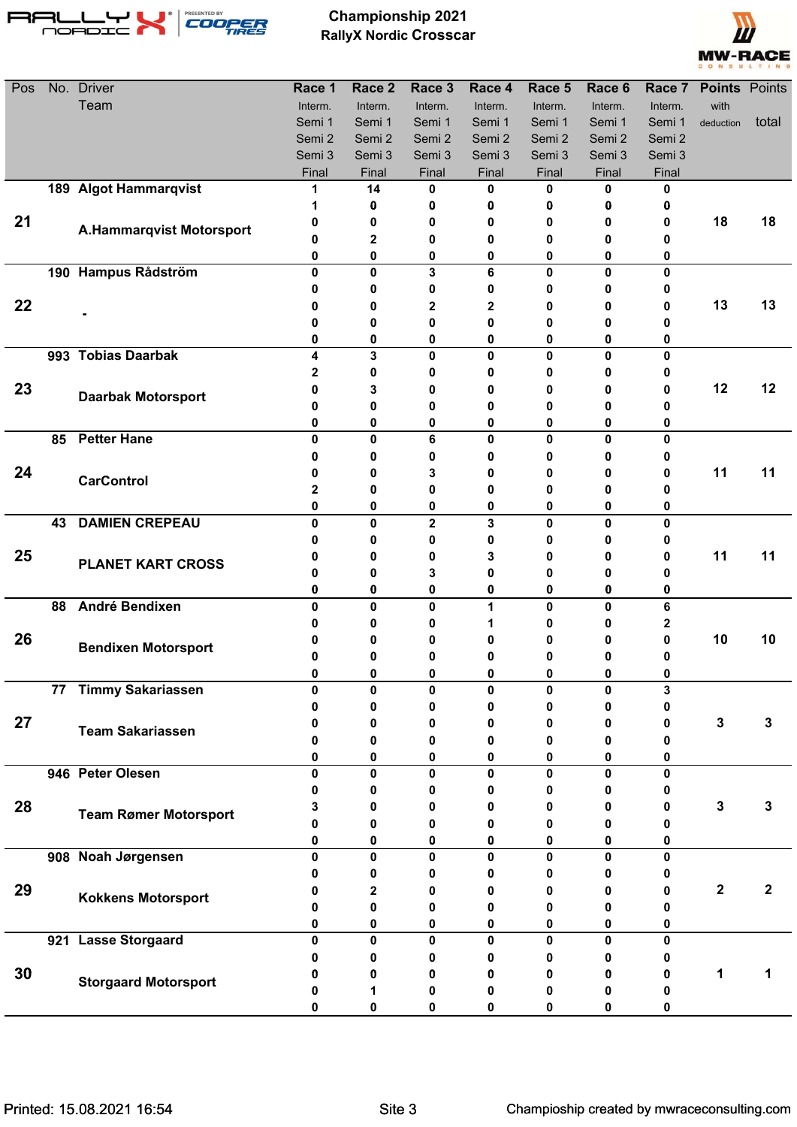



| Pos |    | No. Driver                      | Race 1  | Race <sub>2</sub> | Race 3      | Race 4       | Race 5      | Race 6       | Race 7       | <b>Points</b> Points |             |
|-----|----|---------------------------------|---------|-------------------|-------------|--------------|-------------|--------------|--------------|----------------------|-------------|
|     |    | Team                            | Interm. | Interm.           | Interm.     | Interm.      | Interm.     | Interm.      | Interm.      | with                 |             |
|     |    |                                 | Semi 1  | Semi 1            | Semi 1      | Semi 1       | Semi 1      | Semi 1       | Semi 1       | deduction            | total       |
|     |    |                                 | Semi 2  | Semi 2            | Semi 2      | Semi 2       | Semi 2      | Semi 2       | Semi 2       |                      |             |
|     |    |                                 | Semi 3  | Semi 3            | Semi 3      | Semi 3       | Semi 3      | Semi 3       | Semi 3       |                      |             |
|     |    |                                 | Final   | Final             | Final       | Final        | Final       | Final        | Final        |                      |             |
|     |    | 189 Algot Hammarqvist           | 1       | 14                | 0           | 0            | 0           | 0            | 0            |                      |             |
|     |    |                                 | 1       | 0                 | 0           | 0            | 0           | 0            | 0            |                      |             |
| 21  |    | <b>A.Hammarqvist Motorsport</b> | 0       | 0                 | 0           | 0            | 0           | 0            | 0            | 18                   | 18          |
|     |    |                                 | 0       | 2                 | 0           | 0            | 0           | 0            | 0            |                      |             |
|     |    |                                 | 0       | 0                 | 0           | 0            | 0           | 0            | 0            |                      |             |
|     |    | 190 Hampus Rådström             | 0<br>0  | 0<br>0            | 3<br>0      | 6            | 0<br>0      | 0<br>0       | $\mathbf{0}$ |                      |             |
| 22  |    |                                 | 0       | 0                 | 2           | 0<br>2       | 0           | 0            | 0<br>0       | 13                   | 13          |
|     |    |                                 | 0       | 0                 | 0           | 0            | 0           | 0            | 0            |                      |             |
|     |    |                                 | 0       | 0                 | 0           | 0            | 0           | 0            | 0            |                      |             |
|     |    | 993 Tobias Daarbak              | 4       | 3                 | 0           | 0            | 0           | $\mathbf{0}$ | $\mathbf{0}$ |                      |             |
|     |    |                                 | 2       | 0                 | 0           | 0            | 0           | 0            | 0            |                      |             |
| 23  |    |                                 | 0       | 3                 | 0           | 0            | 0           | 0            | 0            | 12                   | 12          |
|     |    | <b>Daarbak Motorsport</b>       | 0       | 0                 | 0           | 0            | 0           | 0            | o            |                      |             |
|     |    |                                 | 0       | 0                 | 0           | 0            | 0           | 0            | 0            |                      |             |
|     | 85 | <b>Petter Hane</b>              | 0       | 0                 | 6           | $\mathbf 0$  | $\mathbf 0$ | $\mathbf{0}$ | $\mathbf{0}$ |                      |             |
|     |    |                                 | 0       | 0                 | 0           | 0            | 0           | 0            | 0            |                      |             |
| 24  |    | <b>CarControl</b>               | 0       | 0                 | 3           | 0            | 0           | 0            | 0            | 11                   | 11          |
|     |    |                                 | 2       | 0                 | 0           | 0            | 0           | 0            | 0            |                      |             |
|     |    |                                 | 0       | 0                 | 0           | 0            | 0           | 0            | 0            |                      |             |
|     | 43 | <b>DAMIEN CREPEAU</b>           | 0       | 0                 | $\mathbf 2$ | 3            | 0           | 0            | 0            |                      |             |
|     |    |                                 | 0       | 0                 | 0           | 0            | 0           | 0            | 0            |                      |             |
| 25  |    | <b>PLANET KART CROSS</b>        | 0       | 0                 | 0           | 3            | 0           | 0            | 0            | 11                   | 11          |
|     |    |                                 | 0       | 0                 | 3           | 0            | 0           | 0            | п            |                      |             |
|     |    |                                 | 0       | $\bf{0}$          | 0           | 0            | 0           | 0            | 0            |                      |             |
|     | 88 | <b>André Bendixen</b>           | 0       | 0                 | 0           | 1            | 0           | 0            | 6            |                      |             |
| 26  |    |                                 | 0<br>0  | 0<br>0            | 0<br>0      | 1<br>0       | 0<br>0      | 0<br>0       | 2<br>0       | 10                   | 10          |
|     |    | <b>Bendixen Motorsport</b>      | 0       | 0                 | 0           | 0            | 0           | 0            | 0            |                      |             |
|     |    |                                 | U       | U                 | U           |              | 0           | $\bf{0}$     | n.           |                      |             |
|     |    | 77 Timmy Sakariassen            | 0       | 0                 | 0           | 0            | 0           | 0            | 3            |                      |             |
|     |    |                                 | 0       | 0                 | 0           | 0            | 0           | 0            | 0            |                      |             |
| 27  |    |                                 | 0       | 0                 | 0           | 0            | 0           | 0            | 0            | 3                    | 3           |
|     |    | <b>Team Sakariassen</b>         | 0       | 0                 | 0           | 0            | 0           | 0            | 0            |                      |             |
|     |    |                                 | 0       | 0                 | 0           | 0            | 0           | 0            | 0            |                      |             |
|     |    | 946 Peter Olesen                | 0       | 0                 | 0           | 0            | 0           | 0            | 0            |                      |             |
|     |    |                                 | 0       | 0                 | 0           | 0            | 0           | 0            | 0            |                      |             |
| 28  |    | <b>Team Rømer Motorsport</b>    | 3       | 0                 |             | 0            | 0           | 0            | 0            | 3                    | 3           |
|     |    |                                 | O       | 0                 | 0           | 0            | 0           | 0            |              |                      |             |
|     |    |                                 | 0       | 0                 | 0           | 0            | 0           | 0            | 0            |                      |             |
|     |    | 908 Noah Jørgensen              | 0       | $\mathbf{0}$      | 0           | $\mathbf{0}$ | 0           | $\mathbf{0}$ | 0            |                      |             |
|     |    |                                 | 0       | 0                 | o           | 0            | 0           | 0            | 0            |                      |             |
| 29  |    | <b>Kokkens Motorsport</b>       | 0       | 2                 |             | 0            | 0           | 0            | 0            | $\mathbf 2$          | $\mathbf 2$ |
|     |    |                                 | O       | 0                 | 0           | 0            | 0           | 0            | 0            |                      |             |
|     |    |                                 | 0       | 0                 | 0           | 0            | 0           | 0            | 0            |                      |             |
|     |    | 921 Lasse Storgaard             | 0       | 0                 | 0           | 0            | 0           | 0            | 0            |                      |             |
| 30  |    |                                 | 0<br>o  | 0<br>0            | 0           | 0            | 0           | 0<br>0       | 0<br>0       | 1                    | 1           |
|     |    | <b>Storgaard Motorsport</b>     |         | 1                 | 0<br>o      | 0<br>0       | 0<br>o      | 0            | 0            |                      |             |
|     |    |                                 | 0       | 0                 | 0           |              | 0           | 0            | 0            |                      |             |
|     |    |                                 |         |                   |             | 0            |             |              |              |                      |             |